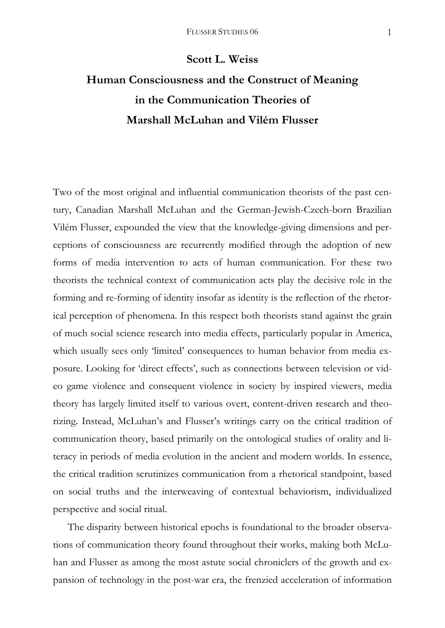## **Scott L. Weiss**

## **Human Consciousness and the Construct of Meaning in the Communication Theories of Marshall McLuhan and Vilém Flusser**

Two of the most original and influential communication theorists of the past century, Canadian Marshall McLuhan and the German-Jewish-Czech-born Brazilian Vilém Flusser, expounded the view that the knowledge-giving dimensions and perceptions of consciousness are recurrently modified through the adoption of new forms of media intervention to acts of human communication. For these two theorists the technical context of communication acts play the decisive role in the forming and re-forming of identity insofar as identity is the reflection of the rhetorical perception of phenomena. In this respect both theorists stand against the grain of much social science research into media effects, particularly popular in America, which usually sees only 'limited' consequences to human behavior from media exposure. Looking for 'direct effects', such as connections between television or video game violence and consequent violence in society by inspired viewers, media theory has largely limited itself to various overt, content-driven research and theorizing. Instead, McLuhan's and Flusser's writings carry on the critical tradition of communication theory, based primarily on the ontological studies of orality and literacy in periods of media evolution in the ancient and modern worlds. In essence, the critical tradition scrutinizes communication from a rhetorical standpoint, based on social truths and the interweaving of contextual behaviorism, individualized perspective and social ritual.

 The disparity between historical epochs is foundational to the broader observations of communication theory found throughout their works, making both McLuhan and Flusser as among the most astute social chroniclers of the growth and expansion of technology in the post-war era, the frenzied acceleration of information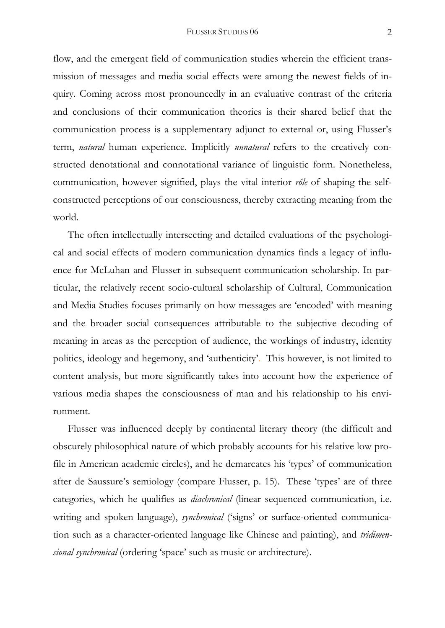flow, and the emergent field of communication studies wherein the efficient transmission of messages and media social effects were among the newest fields of inquiry. Coming across most pronouncedly in an evaluative contrast of the criteria and conclusions of their communication theories is their shared belief that the communication process is a supplementary adjunct to external or, using Flusser's term, *natural* human experience. Implicitly *unnatural* refers to the creatively constructed denotational and connotational variance of linguistic form. Nonetheless, communication, however signified, plays the vital interior *rôle* of shaping the selfconstructed perceptions of our consciousness, thereby extracting meaning from the world.

 The often intellectually intersecting and detailed evaluations of the psychological and social effects of modern communication dynamics finds a legacy of influence for McLuhan and Flusser in subsequent communication scholarship. In particular, the relatively recent socio-cultural scholarship of Cultural, Communication and Media Studies focuses primarily on how messages are 'encoded' with meaning and the broader social consequences attributable to the subjective decoding of meaning in areas as the perception of audience, the workings of industry, identity politics, ideology and hegemony, and 'authenticity'. This however, is not limited to content analysis, but more significantly takes into account how the experience of various media shapes the consciousness of man and his relationship to his environment.

 Flusser was influenced deeply by continental literary theory (the difficult and obscurely philosophical nature of which probably accounts for his relative low profile in American academic circles), and he demarcates his 'types' of communication after de Saussure's semiology (compare Flusser, p. 15). These 'types' are of three categories, which he qualifies as *diachronical* (linear sequenced communication, i.e. writing and spoken language), *synchronical* ('signs' or surface-oriented communication such as a character-oriented language like Chinese and painting), and *tridimensional synchronical* (ordering 'space' such as music or architecture).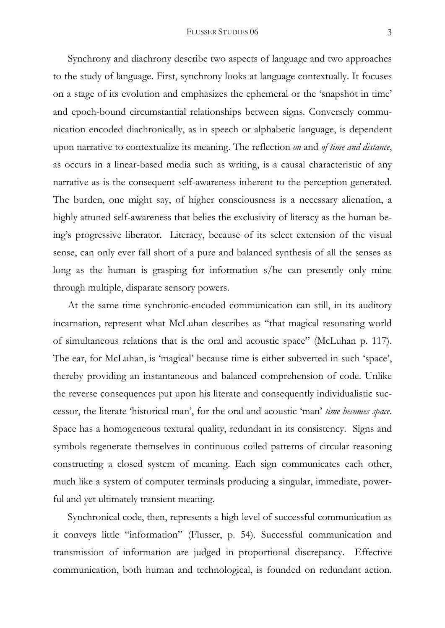Synchrony and diachrony describe two aspects of language and two approaches to the study of language. First, synchrony looks at language contextually. It focuses on a stage of its evolution and emphasizes the ephemeral or the 'snapshot in time' and epoch-bound circumstantial relationships between signs. Conversely communication encoded diachronically, as in speech or alphabetic language, is dependent upon narrative to contextualize its meaning. The reflection *on* and *of time and distance*, as occurs in a linear-based media such as writing, is a causal characteristic of any narrative as is the consequent self-awareness inherent to the perception generated. The burden, one might say, of higher consciousness is a necessary alienation, a highly attuned self-awareness that belies the exclusivity of literacy as the human being's progressive liberator. Literacy, because of its select extension of the visual sense, can only ever fall short of a pure and balanced synthesis of all the senses as long as the human is grasping for information s/he can presently only mine through multiple, disparate sensory powers.

 At the same time synchronic-encoded communication can still, in its auditory incarnation, represent what McLuhan describes as "that magical resonating world of simultaneous relations that is the oral and acoustic space" (McLuhan p. 117). The ear, for McLuhan, is 'magical' because time is either subverted in such 'space', thereby providing an instantaneous and balanced comprehension of code. Unlike the reverse consequences put upon his literate and consequently individualistic successor, the literate 'historical man', for the oral and acoustic 'man' *time becomes space*. Space has a homogeneous textural quality, redundant in its consistency. Signs and symbols regenerate themselves in continuous coiled patterns of circular reasoning constructing a closed system of meaning. Each sign communicates each other, much like a system of computer terminals producing a singular, immediate, powerful and yet ultimately transient meaning.

 Synchronical code, then, represents a high level of successful communication as it conveys little "information" (Flusser, p. 54). Successful communication and transmission of information are judged in proportional discrepancy. Effective communication, both human and technological, is founded on redundant action.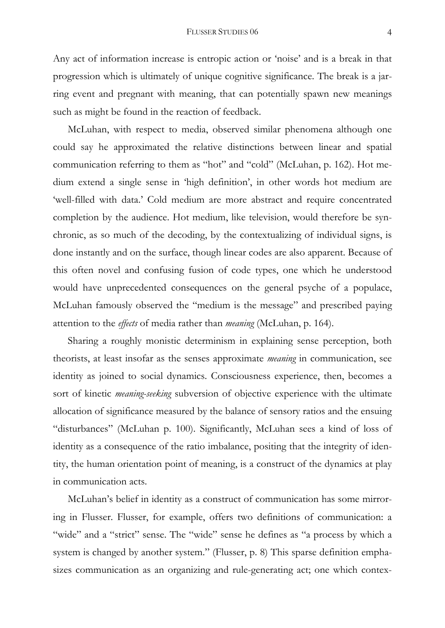Any act of information increase is entropic action or 'noise' and is a break in that progression which is ultimately of unique cognitive significance. The break is a jarring event and pregnant with meaning, that can potentially spawn new meanings such as might be found in the reaction of feedback.

 McLuhan, with respect to media, observed similar phenomena although one could say he approximated the relative distinctions between linear and spatial communication referring to them as "hot" and "cold" (McLuhan, p. 162). Hot medium extend a single sense in 'high definition', in other words hot medium are 'well-filled with data.' Cold medium are more abstract and require concentrated completion by the audience. Hot medium, like television, would therefore be synchronic, as so much of the decoding, by the contextualizing of individual signs, is done instantly and on the surface, though linear codes are also apparent. Because of this often novel and confusing fusion of code types, one which he understood would have unprecedented consequences on the general psyche of a populace, McLuhan famously observed the "medium is the message" and prescribed paying attention to the *effects* of media rather than *meaning* (McLuhan, p. 164).

 Sharing a roughly monistic determinism in explaining sense perception, both theorists, at least insofar as the senses approximate *meaning* in communication, see identity as joined to social dynamics. Consciousness experience, then, becomes a sort of kinetic *meaning-seeking* subversion of objective experience with the ultimate allocation of significance measured by the balance of sensory ratios and the ensuing "disturbances" (McLuhan p. 100). Significantly, McLuhan sees a kind of loss of identity as a consequence of the ratio imbalance, positing that the integrity of identity, the human orientation point of meaning, is a construct of the dynamics at play in communication acts.

 McLuhan's belief in identity as a construct of communication has some mirroring in Flusser. Flusser, for example, offers two definitions of communication: a "wide" and a "strict" sense. The "wide" sense he defines as "a process by which a system is changed by another system." (Flusser, p. 8) This sparse definition emphasizes communication as an organizing and rule-generating act; one which contex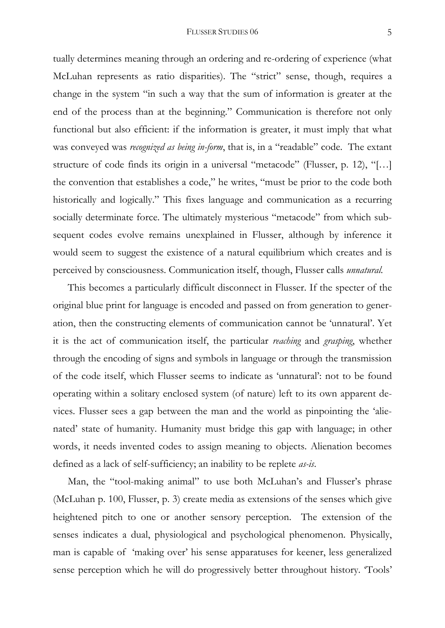tually determines meaning through an ordering and re-ordering of experience (what McLuhan represents as ratio disparities). The "strict" sense, though, requires a change in the system "in such a way that the sum of information is greater at the end of the process than at the beginning." Communication is therefore not only functional but also efficient: if the information is greater, it must imply that what was conveyed was *recognized as being in-form*, that is, in a "readable" code. The extant structure of code finds its origin in a universal "metacode" (Flusser, p. 12), "[…] the convention that establishes a code," he writes, "must be prior to the code both historically and logically." This fixes language and communication as a recurring socially determinate force. The ultimately mysterious "metacode" from which subsequent codes evolve remains unexplained in Flusser, although by inference it would seem to suggest the existence of a natural equilibrium which creates and is perceived by consciousness. Communication itself, though, Flusser calls *unnatural.*

 This becomes a particularly difficult disconnect in Flusser. If the specter of the original blue print for language is encoded and passed on from generation to generation, then the constructing elements of communication cannot be 'unnatural'. Yet it is the act of communication itself, the particular *reaching* and *grasping*, whether through the encoding of signs and symbols in language or through the transmission of the code itself, which Flusser seems to indicate as 'unnatural': not to be found operating within a solitary enclosed system (of nature) left to its own apparent devices. Flusser sees a gap between the man and the world as pinpointing the 'alienated' state of humanity. Humanity must bridge this gap with language; in other words, it needs invented codes to assign meaning to objects. Alienation becomes defined as a lack of self-sufficiency; an inability to be replete *as-is*.

Man, the "tool-making animal" to use both McLuhan's and Flusser's phrase (McLuhan p. 100, Flusser, p. 3) create media as extensions of the senses which give heightened pitch to one or another sensory perception. The extension of the senses indicates a dual, physiological and psychological phenomenon. Physically, man is capable of 'making over' his sense apparatuses for keener, less generalized sense perception which he will do progressively better throughout history. 'Tools'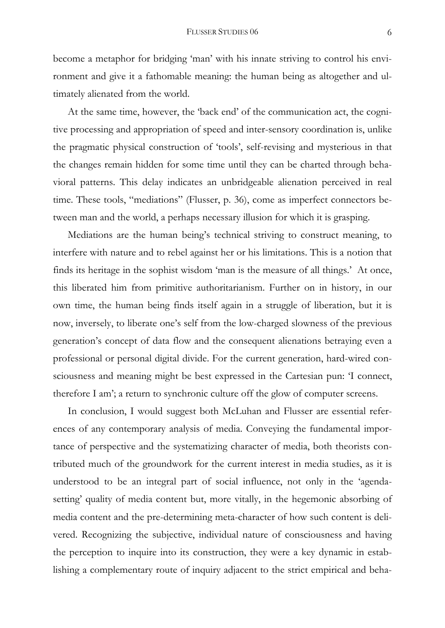become a metaphor for bridging 'man' with his innate striving to control his environment and give it a fathomable meaning: the human being as altogether and ultimately alienated from the world.

At the same time, however, the 'back end' of the communication act, the cognitive processing and appropriation of speed and inter-sensory coordination is, unlike the pragmatic physical construction of 'tools', self-revising and mysterious in that the changes remain hidden for some time until they can be charted through behavioral patterns. This delay indicates an unbridgeable alienation perceived in real time. These tools, "mediations" (Flusser, p. 36), come as imperfect connectors between man and the world, a perhaps necessary illusion for which it is grasping.

 Mediations are the human being's technical striving to construct meaning, to interfere with nature and to rebel against her or his limitations. This is a notion that finds its heritage in the sophist wisdom 'man is the measure of all things.' At once, this liberated him from primitive authoritarianism. Further on in history, in our own time, the human being finds itself again in a struggle of liberation, but it is now, inversely, to liberate one's self from the low-charged slowness of the previous generation's concept of data flow and the consequent alienations betraying even a professional or personal digital divide. For the current generation, hard-wired consciousness and meaning might be best expressed in the Cartesian pun: 'I connect, therefore I am'; a return to synchronic culture off the glow of computer screens.

In conclusion, I would suggest both McLuhan and Flusser are essential references of any contemporary analysis of media. Conveying the fundamental importance of perspective and the systematizing character of media, both theorists contributed much of the groundwork for the current interest in media studies, as it is understood to be an integral part of social influence, not only in the 'agendasetting' quality of media content but, more vitally, in the hegemonic absorbing of media content and the pre-determining meta-character of how such content is delivered. Recognizing the subjective, individual nature of consciousness and having the perception to inquire into its construction, they were a key dynamic in establishing a complementary route of inquiry adjacent to the strict empirical and beha